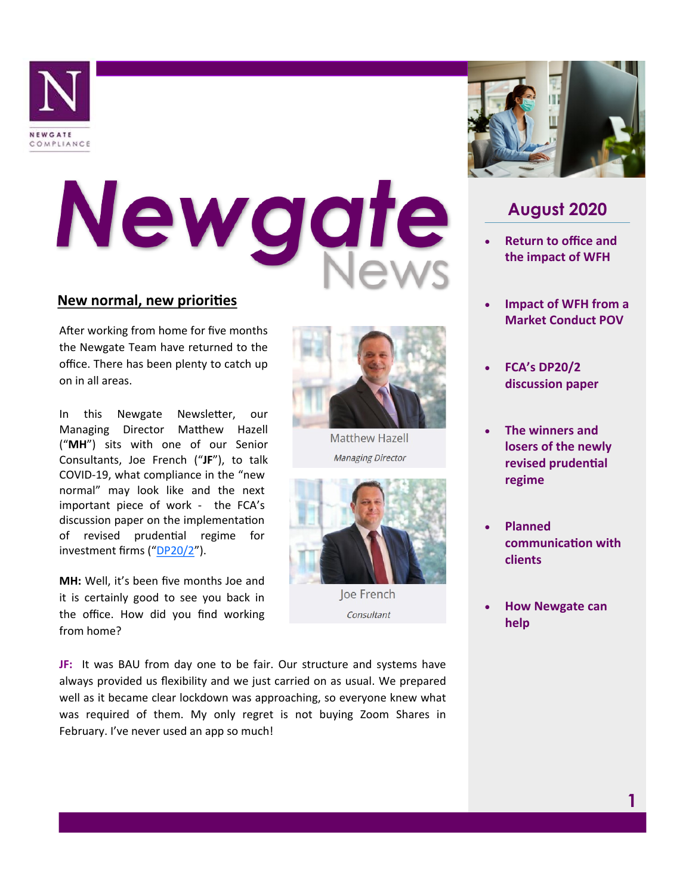

## Newgate

## **New normal, new priorities**

After working from home for five months the Newgate Team have returned to the office. There has been plenty to catch up on in all areas.

In this Newgate Newsletter, our Managing Director Matthew Hazell ("**MH**") sits with one of our Senior Consultants, Joe French ("**JF**"), to talk COVID-19, what compliance in the "new normal" may look like and the next important piece of work - the FCA's discussion paper on the implementation of revised prudential regime for investment firms ("[DP20/2](https://www.fca.org.uk/publications/discussion-papers/dp20-2-prudential-requirements-mifid-investment-firms)").

**MH:** Well, it's been five months Joe and it is certainly good to see you back in the office. How did you find working from home?

**JF:** It was BAU from day one to be fair. Our structure and systems have always provided us flexibility and we just carried on as usual. We prepared well as it became clear lockdown was approaching, so everyone knew what was required of them. My only regret is not buying Zoom Shares in February. I've never used an app so much!



## **August 2020**

- **Return to office and the impact of WFH**
- **Impact of WFH from a Market Conduct POV**
- **FCA's DP20/2 discussion paper**
- **The winners and losers of the newly revised prudential regime**
- **Planned communication with clients**
- **How Newgate can help**



Matthew Hazell **Managing Director** 



Joe French Consultant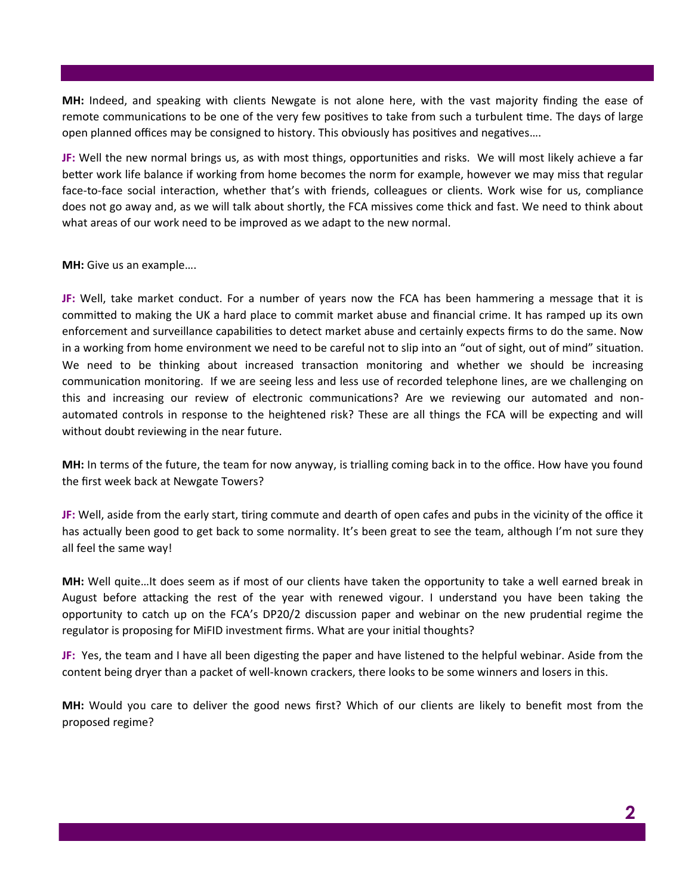**MH:** Indeed, and speaking with clients Newgate is not alone here, with the vast majority finding the ease of remote communications to be one of the very few positives to take from such a turbulent time. The days of large open planned offices may be consigned to history. This obviously has positives and negatives….

**JF:** Well the new normal brings us, as with most things, opportunities and risks. We will most likely achieve a far better work life balance if working from home becomes the norm for example, however we may miss that regular face-to-face social interaction, whether that's with friends, colleagues or clients. Work wise for us, compliance does not go away and, as we will talk about shortly, the FCA missives come thick and fast. We need to think about what areas of our work need to be improved as we adapt to the new normal.

**MH:** Give us an example….

**JF:** Well, take market conduct. For a number of years now the FCA has been hammering a message that it is committed to making the UK a hard place to commit market abuse and financial crime. It has ramped up its own enforcement and surveillance capabilities to detect market abuse and certainly expects firms to do the same. Now in a working from home environment we need to be careful not to slip into an "out of sight, out of mind" situation. We need to be thinking about increased transaction monitoring and whether we should be increasing communication monitoring. If we are seeing less and less use of recorded telephone lines, are we challenging on this and increasing our review of electronic communications? Are we reviewing our automated and nonautomated controls in response to the heightened risk? These are all things the FCA will be expecting and will without doubt reviewing in the near future.

**MH:** In terms of the future, the team for now anyway, is trialling coming back in to the office. How have you found the first week back at Newgate Towers?

**JF:** Well, aside from the early start, tiring commute and dearth of open cafes and pubs in the vicinity of the office it has actually been good to get back to some normality. It's been great to see the team, although I'm not sure they all feel the same way!

**MH:** Well quite…It does seem as if most of our clients have taken the opportunity to take a well earned break in August before attacking the rest of the year with renewed vigour. I understand you have been taking the opportunity to catch up on the FCA's DP20/2 discussion paper and webinar on the new prudential regime the regulator is proposing for MiFID investment firms. What are your initial thoughts?

**JF:** Yes, the team and I have all been digesting the paper and have listened to the helpful webinar. Aside from the content being dryer than a packet of well-known crackers, there looks to be some winners and losers in this.

**MH:** Would you care to deliver the good news first? Which of our clients are likely to benefit most from the proposed regime?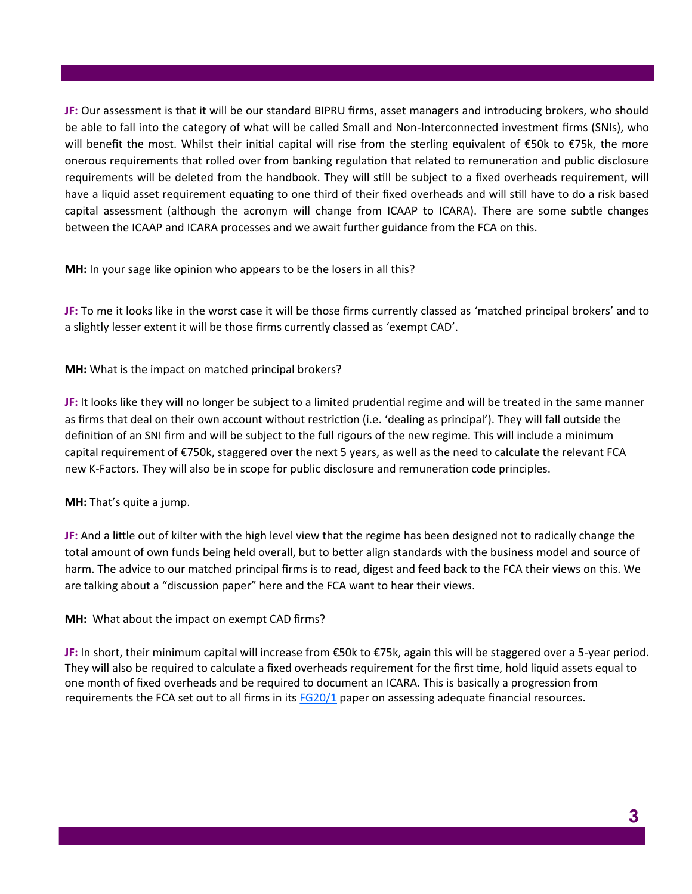**JF:** Our assessment is that it will be our standard BIPRU firms, asset managers and introducing brokers, who should be able to fall into the category of what will be called Small and Non-Interconnected investment firms (SNIs), who will benefit the most. Whilst their initial capital will rise from the sterling equivalent of €50k to €75k, the more onerous requirements that rolled over from banking regulation that related to remuneration and public disclosure requirements will be deleted from the handbook. They will still be subject to a fixed overheads requirement, will have a liquid asset requirement equating to one third of their fixed overheads and will still have to do a risk based capital assessment (although the acronym will change from ICAAP to ICARA). There are some subtle changes between the ICAAP and ICARA processes and we await further guidance from the FCA on this.

**MH:** In your sage like opinion who appears to be the losers in all this?

**JF:** To me it looks like in the worst case it will be those firms currently classed as 'matched principal brokers' and to a slightly lesser extent it will be those firms currently classed as 'exempt CAD'.

**MH:** What is the impact on matched principal brokers?

**JF:** It looks like they will no longer be subject to a limited prudential regime and will be treated in the same manner as firms that deal on their own account without restriction (i.e. 'dealing as principal'). They will fall outside the definition of an SNI firm and will be subject to the full rigours of the new regime. This will include a minimum capital requirement of €750k, staggered over the next 5 years, as well as the need to calculate the relevant FCA new K-Factors. They will also be in scope for public disclosure and remuneration code principles.

**MH:** That's quite a jump.

**JF:** And a little out of kilter with the high level view that the regime has been designed not to radically change the total amount of own funds being held overall, but to better align standards with the business model and source of harm. The advice to our matched principal firms is to read, digest and feed back to the FCA their views on this. We are talking about a "discussion paper" here and the FCA want to hear their views.

**MH:** What about the impact on exempt CAD firms?

**JF:** In short, their minimum capital will increase from €50k to €75k, again this will be staggered over a 5-year period. They will also be required to calculate a fixed overheads requirement for the first time, hold liquid assets equal to one month of fixed overheads and be required to document an ICARA. This is basically a progression from requirements the FCA set out to all firms in its [FG20/1](https://www.fca.org.uk/publications/finalised-guidance/fg20-1-assessing-adequate-financial-resources) paper on assessing adequate financial resources.

**3**